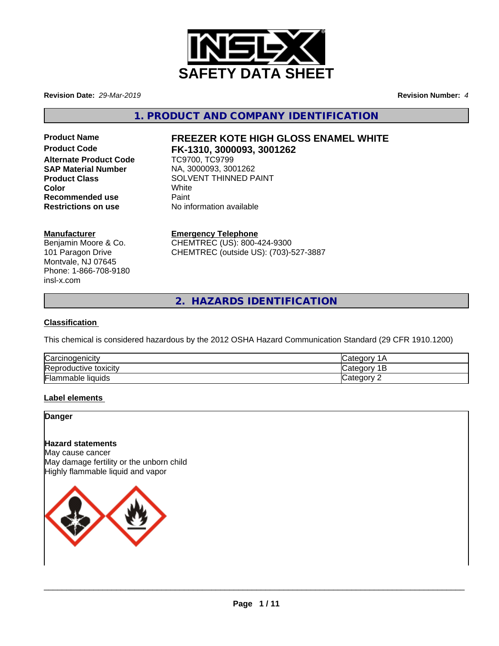

**Revision Date:** *29-Mar-2019* **Revision Number:** *4*

**1. PRODUCT AND COMPANY IDENTIFICATION**

**Product Code FK-1310, 3000093, 3001262 Alternate Product Code SAP Material Number** NA, 3000093, 3001262 **Recommended use** Paint **Restrictions on use** No information available

# **Product Name FREEZER KOTE HIGH GLOSS ENAMEL WHITE**

**Product Class** SOLVENT THINNED PAINT<br>
Color **Color** White

#### **Manufacturer**

Benjamin Moore & Co. 101 Paragon Drive Montvale, NJ 07645 Phone: 1-866-708-9180 insl-x.com

**Emergency Telephone** CHEMTREC (US): 800-424-9300

CHEMTREC (outside US): (703)-527-3887

**2. HAZARDS IDENTIFICATION**

#### **Classification**

This chemical is considered hazardous by the 2012 OSHA Hazard Communication Standard (29 CFR 1910.1200)

| Carcinogenicity              | $\sim$ $\sim$ $\sim$<br>10 |
|------------------------------|----------------------------|
| toxicity<br>'Reproductive    | $\sim$<br>ำ+า<br>זנזו<br>- |
| ╺<br>mmable liquids<br>rlam, | ategor.<br>-               |

#### **Label elements**

# **Danger**

**Hazard statements**

May cause cancer May damage fertility or the unborn child Highly flammable liquid and vapor

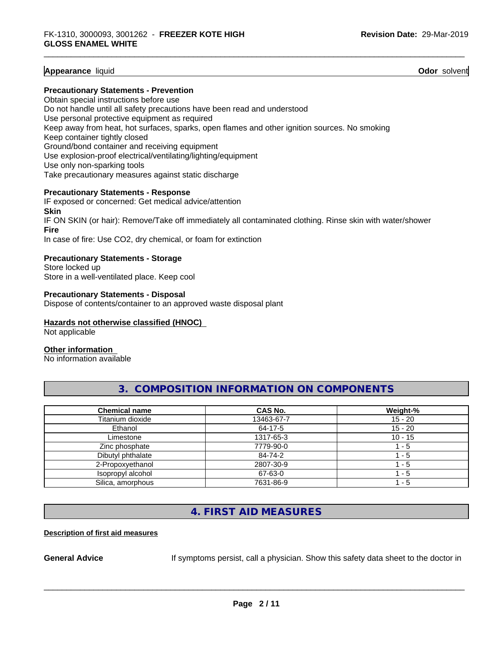#### **Appearance** liquid **Odor** solvent

#### **Precautionary Statements - Prevention**

Obtain special instructions before use Do not handle until all safety precautions have been read and understood Use personal protective equipment as required Keep away from heat, hot surfaces, sparks, open flames and other ignition sources. No smoking Keep container tightly closed Ground/bond container and receiving equipment Use explosion-proof electrical/ventilating/lighting/equipment Use only non-sparking tools Take precautionary measures against static discharge

#### **Precautionary Statements - Response**

IF exposed or concerned: Get medical advice/attention **Skin** IF ON SKIN (or hair): Remove/Take off immediately all contaminated clothing. Rinse skin with water/shower **Fire** In case of fire: Use CO2, dry chemical, or foam for extinction

#### **Precautionary Statements - Storage**

Store locked up Store in a well-ventilated place. Keep cool

#### **Precautionary Statements - Disposal**

Dispose of contents/container to an approved waste disposal plant

#### **Hazards not otherwise classified (HNOC)**

Not applicable

#### **Other information**

No information available

# **3. COMPOSITION INFORMATION ON COMPONENTS**

| <b>Chemical name</b> | CAS No.    | Weight-%  |
|----------------------|------------|-----------|
| Titanium dioxide     | 13463-67-7 | $15 - 20$ |
| Ethanol              | 64-17-5    | $15 - 20$ |
| Limestone            | 1317-65-3  | $10 - 15$ |
| Zinc phosphate       | 7779-90-0  | $-5$      |
| Dibutyl phthalate    | 84-74-2    | - 5       |
| 2-Propoxyethanol     | 2807-30-9  | - 5       |
| Isopropyl alcohol    | 67-63-0    | $-5$      |
| Silica, amorphous    | 7631-86-9  | - 5       |

# **4. FIRST AID MEASURES**

#### **Description of first aid measures**

**General Advice** If symptoms persist, call a physician. Show this safety data sheet to the doctor in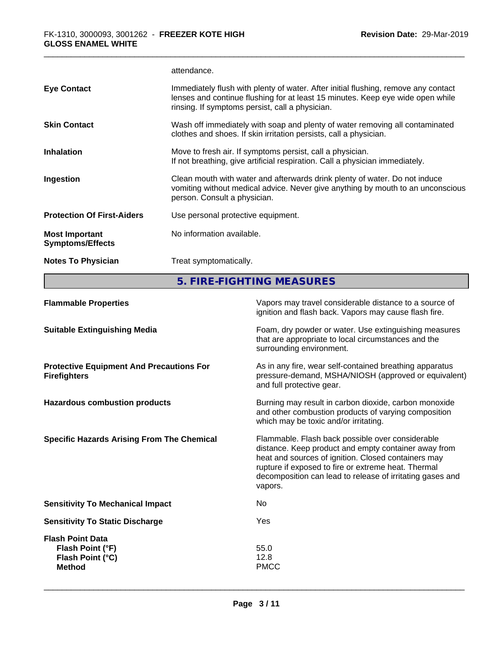|                                                  | attendance.                                                                                                                                                                                                             |
|--------------------------------------------------|-------------------------------------------------------------------------------------------------------------------------------------------------------------------------------------------------------------------------|
| <b>Eye Contact</b>                               | Immediately flush with plenty of water. After initial flushing, remove any contact<br>lenses and continue flushing for at least 15 minutes. Keep eye wide open while<br>rinsing. If symptoms persist, call a physician. |
| <b>Skin Contact</b>                              | Wash off immediately with soap and plenty of water removing all contaminated<br>clothes and shoes. If skin irritation persists, call a physician.                                                                       |
| <b>Inhalation</b>                                | Move to fresh air. If symptoms persist, call a physician.<br>If not breathing, give artificial respiration. Call a physician immediately.                                                                               |
| Ingestion                                        | Clean mouth with water and afterwards drink plenty of water. Do not induce<br>vomiting without medical advice. Never give anything by mouth to an unconscious<br>person. Consult a physician.                           |
| <b>Protection Of First-Aiders</b>                | Use personal protective equipment.                                                                                                                                                                                      |
| <b>Most Important</b><br><b>Symptoms/Effects</b> | No information available.                                                                                                                                                                                               |
| <b>Notes To Physician</b>                        | Treat symptomatically.                                                                                                                                                                                                  |

**5. FIRE-FIGHTING MEASURES**

| <b>Flammable Properties</b>                                                      | Vapors may travel considerable distance to a source of<br>ignition and flash back. Vapors may cause flash fire.                                                                                                                                                                                |
|----------------------------------------------------------------------------------|------------------------------------------------------------------------------------------------------------------------------------------------------------------------------------------------------------------------------------------------------------------------------------------------|
| <b>Suitable Extinguishing Media</b>                                              | Foam, dry powder or water. Use extinguishing measures<br>that are appropriate to local circumstances and the<br>surrounding environment.                                                                                                                                                       |
| <b>Protective Equipment And Precautions For</b><br><b>Firefighters</b>           | As in any fire, wear self-contained breathing apparatus<br>pressure-demand, MSHA/NIOSH (approved or equivalent)<br>and full protective gear.                                                                                                                                                   |
| <b>Hazardous combustion products</b>                                             | Burning may result in carbon dioxide, carbon monoxide<br>and other combustion products of varying composition<br>which may be toxic and/or irritating.                                                                                                                                         |
| <b>Specific Hazards Arising From The Chemical</b>                                | Flammable. Flash back possible over considerable<br>distance. Keep product and empty container away from<br>heat and sources of ignition. Closed containers may<br>rupture if exposed to fire or extreme heat. Thermal<br>decomposition can lead to release of irritating gases and<br>vapors. |
| <b>Sensitivity To Mechanical Impact</b>                                          | No                                                                                                                                                                                                                                                                                             |
| <b>Sensitivity To Static Discharge</b>                                           | <b>Yes</b>                                                                                                                                                                                                                                                                                     |
| <b>Flash Point Data</b><br>Flash Point (°F)<br>Flash Point (°C)<br><b>Method</b> | 55.0<br>12.8<br><b>PMCC</b>                                                                                                                                                                                                                                                                    |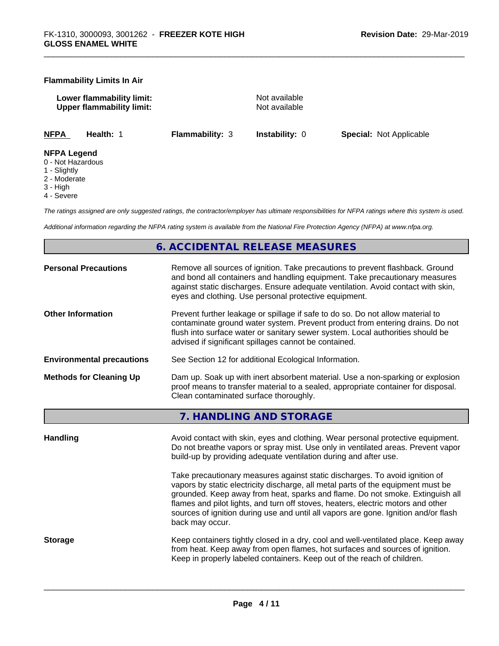#### **Flammability Limits In Air**

**Lower flammability limit:**<br> **Upper flammability limit:** Not available<br>
Not available **Upper flammability limit:** 

**NFPA Health:** 1 **Flammability:** 3 **Instability:** 0 **Special:** Not Applicable

#### **NFPA Legend**

- 0 Not Hazardous
- 1 Slightly
- 2 Moderate
- 3 High
- 4 Severe

*The ratings assigned are only suggested ratings, the contractor/employer has ultimate responsibilities for NFPA ratings where this system is used.*

*Additional information regarding the NFPA rating system is available from the National Fire Protection Agency (NFPA) at www.nfpa.org.*

# **6. ACCIDENTAL RELEASE MEASURES**

| <b>Personal Precautions</b>      | Remove all sources of ignition. Take precautions to prevent flashback. Ground<br>and bond all containers and handling equipment. Take precautionary measures<br>against static discharges. Ensure adequate ventilation. Avoid contact with skin,<br>eyes and clothing. Use personal protective equipment.  |
|----------------------------------|------------------------------------------------------------------------------------------------------------------------------------------------------------------------------------------------------------------------------------------------------------------------------------------------------------|
| <b>Other Information</b>         | Prevent further leakage or spillage if safe to do so. Do not allow material to<br>contaminate ground water system. Prevent product from entering drains. Do not<br>flush into surface water or sanitary sewer system. Local authorities should be<br>advised if significant spillages cannot be contained. |
| <b>Environmental precautions</b> | See Section 12 for additional Ecological Information.                                                                                                                                                                                                                                                      |
| <b>Methods for Cleaning Up</b>   | Dam up. Soak up with inert absorbent material. Use a non-sparking or explosion<br>proof means to transfer material to a sealed, appropriate container for disposal.<br>Clean contaminated surface thoroughly.                                                                                              |
|                                  |                                                                                                                                                                                                                                                                                                            |

**7. HANDLING AND STORAGE**

Handling **Handling** Avoid contact with skin, eyes and clothing. Wear personal protective equipment. Do not breathe vapors or spray mist. Use only in ventilated areas. Prevent vapor build-up by providing adequate ventilation during and after use. Take precautionary measures against static discharges. To avoid ignition of vapors by static electricity discharge, all metal parts of the equipment must be grounded. Keep away from heat, sparks and flame. Do not smoke. Extinguish all flames and pilot lights, and turn off stoves, heaters, electric motors and other sources of ignition during use and until all vapors are gone. Ignition and/or flash back may occur. **Storage** Keep containers tightly closed in a dry, cool and well-ventilated place. Keep away from heat. Keep away from open flames, hot surfaces and sources of ignition. Keep in properly labeled containers. Keep out of the reach of children.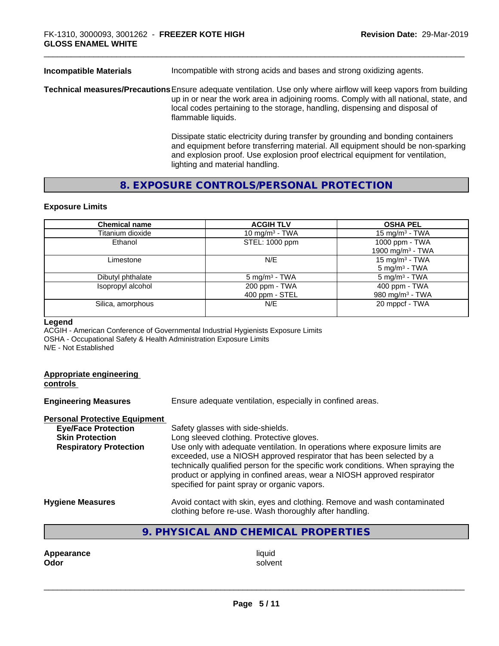| <b>Incompatible Materials</b> | Incompatible with strong acids and bases and strong oxidizing agents.                                                                                                                                                                                                                                          |
|-------------------------------|----------------------------------------------------------------------------------------------------------------------------------------------------------------------------------------------------------------------------------------------------------------------------------------------------------------|
|                               | Technical measures/Precautions Ensure adequate ventilation. Use only where airflow will keep vapors from building<br>up in or near the work area in adjoining rooms. Comply with all national, state, and<br>local codes pertaining to the storage, handling, dispensing and disposal of<br>flammable liquids. |
|                               | Dissipate static electricity during transfer by grounding and bonding containers<br>and equipment before transferring material. All equipment should be non-sparking<br>and explosion proof. Use explosion proof electrical equipment for ventilation,                                                         |

# **8. EXPOSURE CONTROLS/PERSONAL PROTECTION**

lighting and material handling.

#### **Exposure Limits**

| <b>Chemical name</b> | <b>ACGIH TLV</b>                | <b>OSHA PEL</b>                                        |
|----------------------|---------------------------------|--------------------------------------------------------|
| Titanium dioxide     | 10 mg/m <sup>3</sup> - TWA      | 15 mg/m <sup>3</sup> - TWA                             |
| Ethanol              | STEL: 1000 ppm                  | 1000 ppm - TWA<br>1900 mg/m <sup>3</sup> - TWA         |
| Limestone            | N/E                             | 15 mg/m <sup>3</sup> - TWA<br>$5 \text{ mg/m}^3$ - TWA |
| Dibutyl phthalate    | 5 mg/m <sup>3</sup> - TWA       | $5 \text{ mg/m}^3$ - TWA                               |
| Isopropyl alcohol    | 200 ppm - TWA<br>400 ppm - STEL | 400 ppm - TWA<br>980 mg/m <sup>3</sup> - TWA           |
| Silica, amorphous    | N/E                             | 20 mppcf - TWA                                         |

#### **Legend**

ACGIH - American Conference of Governmental Industrial Hygienists Exposure Limits OSHA - Occupational Safety & Health Administration Exposure Limits N/E - Not Established

# **Appropriate engineering**

**controls** 

| <b>Engineering Measures</b>          | Ensure adequate ventilation, especially in confined areas.                                                                                                                                                                                                                                                                                                          |  |  |
|--------------------------------------|---------------------------------------------------------------------------------------------------------------------------------------------------------------------------------------------------------------------------------------------------------------------------------------------------------------------------------------------------------------------|--|--|
| <b>Personal Protective Equipment</b> |                                                                                                                                                                                                                                                                                                                                                                     |  |  |
| <b>Eye/Face Protection</b>           | Safety glasses with side-shields.                                                                                                                                                                                                                                                                                                                                   |  |  |
| <b>Skin Protection</b>               | Long sleeved clothing. Protective gloves.                                                                                                                                                                                                                                                                                                                           |  |  |
| <b>Respiratory Protection</b>        | Use only with adequate ventilation. In operations where exposure limits are<br>exceeded, use a NIOSH approved respirator that has been selected by a<br>technically qualified person for the specific work conditions. When spraying the<br>product or applying in confined areas, wear a NIOSH approved respirator<br>specified for paint spray or organic vapors. |  |  |
| <b>Hygiene Measures</b>              | Avoid contact with skin, eyes and clothing. Remove and wash contaminated<br>clothing before re-use. Wash thoroughly after handling.                                                                                                                                                                                                                                 |  |  |

# **9. PHYSICAL AND CHEMICAL PROPERTIES**

**Appearance** liquid and **a liquid liquid liquid** by the liquid liquid solvent **Odor** solvent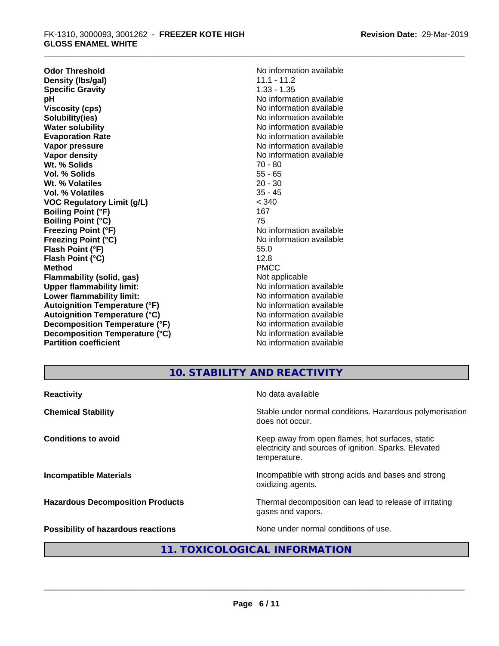**Odor Threshold**<br> **Density (Ibs/gal)**<br> **Density (Ibs/gal)**<br> **No information available**<br>
11.1 - 11.2 **Density (Ibs/gal)** 11.1 - 11.2<br> **Specific Gravity** 1.33 - 1.35 **Specific Gravity**<br>pH **Viscosity (cps)** No information available in the Viscosity (cps) **Solubility(ies)** No information available **Water solubility** No information available **Evaporation Rate No information available No information available Vapor pressure** No information available **No information** available **Vapor density No information available No information available Wt. % Solids** 70 - 80 **Vol. % Solids** 55 - 65 **Wt. % Volatiles** 20 - 30 **Vol. % Volatiles VOC Regulatory Limit (g/L)** < 340 **Boiling Point (°F)** 167 **Boiling Point (°C)** 75 **Freezing Point (°F)** The state of the Monometer No information available **Freezing Point (°C)** No information available **Flash Point (°F)** 55.0 **Flash Point (°C)** 12.8 **Method** PMCC **Flammability (solid, gas)** Not applicable **Upper flammability limit:**<br> **Lower flammability limit:** No information available **Lower flammability limit:**<br> **Autoignition Temperature (°F)** No information available<br>
No information available **Autoignition Temperature (°F) Autoignition Temperature (°C)** No information available **Decomposition Temperature (°F)** No information available **Decomposition Temperature (°C)** No information available **Partition coefficient** and the settlement of the No information available

**No information available** 

# **10. STABILITY AND REACTIVITY**

| <b>Reactivity</b>                         | No data available                                                                                                         |
|-------------------------------------------|---------------------------------------------------------------------------------------------------------------------------|
| <b>Chemical Stability</b>                 | Stable under normal conditions. Hazardous polymerisation<br>does not occur.                                               |
| <b>Conditions to avoid</b>                | Keep away from open flames, hot surfaces, static<br>electricity and sources of ignition. Sparks. Elevated<br>temperature. |
| <b>Incompatible Materials</b>             | Incompatible with strong acids and bases and strong<br>oxidizing agents.                                                  |
| <b>Hazardous Decomposition Products</b>   | Thermal decomposition can lead to release of irritating<br>gases and vapors.                                              |
| <b>Possibility of hazardous reactions</b> | None under normal conditions of use.                                                                                      |
|                                           |                                                                                                                           |

# **11. TOXICOLOGICAL INFORMATION**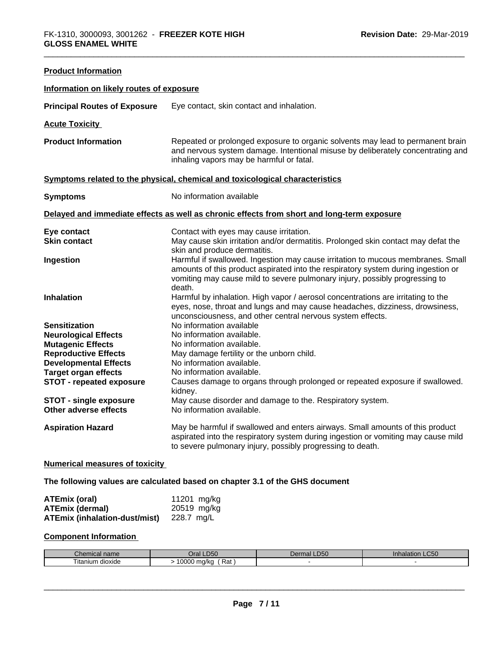| <b>Product Information</b>                                  |                                                                                                                                                                                                                                                               |  |  |
|-------------------------------------------------------------|---------------------------------------------------------------------------------------------------------------------------------------------------------------------------------------------------------------------------------------------------------------|--|--|
| Information on likely routes of exposure                    |                                                                                                                                                                                                                                                               |  |  |
| <b>Principal Routes of Exposure</b>                         | Eye contact, skin contact and inhalation.                                                                                                                                                                                                                     |  |  |
| <b>Acute Toxicity</b>                                       |                                                                                                                                                                                                                                                               |  |  |
| <b>Product Information</b>                                  | Repeated or prolonged exposure to organic solvents may lead to permanent brain<br>and nervous system damage. Intentional misuse by deliberately concentrating and<br>inhaling vapors may be harmful or fatal.                                                 |  |  |
|                                                             | Symptoms related to the physical, chemical and toxicological characteristics                                                                                                                                                                                  |  |  |
| <b>Symptoms</b>                                             | No information available                                                                                                                                                                                                                                      |  |  |
|                                                             | Delayed and immediate effects as well as chronic effects from short and long-term exposure                                                                                                                                                                    |  |  |
| Eye contact                                                 | Contact with eyes may cause irritation.                                                                                                                                                                                                                       |  |  |
| <b>Skin contact</b>                                         | May cause skin irritation and/or dermatitis. Prolonged skin contact may defat the<br>skin and produce dermatitis.                                                                                                                                             |  |  |
| Ingestion                                                   | Harmful if swallowed. Ingestion may cause irritation to mucous membranes. Small<br>amounts of this product aspirated into the respiratory system during ingestion or<br>vomiting may cause mild to severe pulmonary injury, possibly progressing to<br>death. |  |  |
| <b>Inhalation</b>                                           | Harmful by inhalation. High vapor / aerosol concentrations are irritating to the<br>eyes, nose, throat and lungs and may cause headaches, dizziness, drowsiness,<br>unconsciousness, and other central nervous system effects.                                |  |  |
| <b>Sensitization</b>                                        | No information available                                                                                                                                                                                                                                      |  |  |
| <b>Neurological Effects</b>                                 | No information available.                                                                                                                                                                                                                                     |  |  |
| <b>Mutagenic Effects</b>                                    | No information available.                                                                                                                                                                                                                                     |  |  |
| <b>Reproductive Effects</b>                                 | May damage fertility or the unborn child.                                                                                                                                                                                                                     |  |  |
| <b>Developmental Effects</b><br><b>Target organ effects</b> | No information available.<br>No information available.                                                                                                                                                                                                        |  |  |
| STOT - repeated exposure                                    | Causes damage to organs through prolonged or repeated exposure if swallowed.                                                                                                                                                                                  |  |  |
|                                                             | kidney.                                                                                                                                                                                                                                                       |  |  |
| <b>STOT - single exposure</b>                               | May cause disorder and damage to the. Respiratory system.                                                                                                                                                                                                     |  |  |
| Other adverse effects                                       | No information available.                                                                                                                                                                                                                                     |  |  |
| <b>Aspiration Hazard</b>                                    | May be harmful if swallowed and enters airways. Small amounts of this product<br>aspirated into the respiratory system during ingestion or vomiting may cause mild<br>to severe pulmonary injury, possibly progressing to death.                              |  |  |
|                                                             |                                                                                                                                                                                                                                                               |  |  |

#### **Numerical measures of toxicity**

# **The following values are calculated based on chapter 3.1 of the GHS document**

| <b>ATEmix (oral)</b>                            | 11201 mg/kg |
|-------------------------------------------------|-------------|
| <b>ATEmix (dermal)</b>                          | 20519 mg/kg |
| <b>ATEmix (inhalation-dust/mist)</b> 228.7 mg/L |             |

#### **Component Information**

| <i>Chemical</i><br>, name | LD50<br><b>Jral</b>                               | LD50<br>$\rho$ err<br>mal | Inhalation LC50 |
|---------------------------|---------------------------------------------------|---------------------------|-----------------|
| dioxide<br>l itanıum      | LOOOO<br>0000 ma/ka<br>Rat<br>$\mathbf{r}$<br>. . |                           |                 |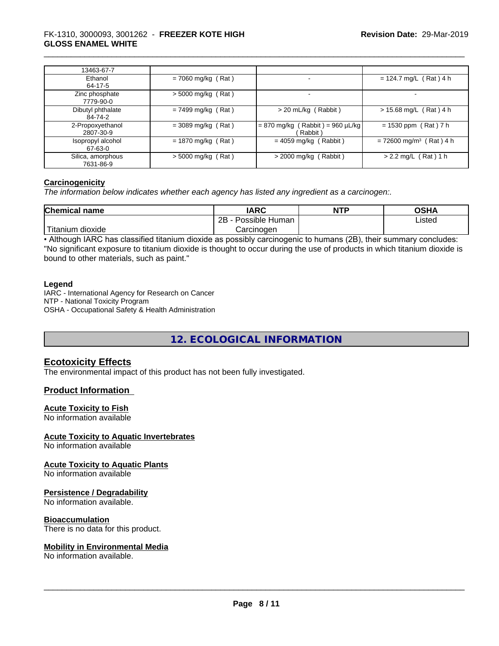| 13463-67-7                     |                      |                                               |                                       |
|--------------------------------|----------------------|-----------------------------------------------|---------------------------------------|
| Ethanol<br>64-17-5             | $= 7060$ mg/kg (Rat) |                                               | $= 124.7$ mg/L (Rat) 4 h              |
| Zinc phosphate<br>7779-90-0    | $>$ 5000 mg/kg (Rat) | $\overline{\phantom{0}}$                      | $\overline{\phantom{a}}$              |
| Dibutyl phthalate<br>84-74-2   | $= 7499$ mg/kg (Rat) | $>$ 20 mL/kg (Rabbit)                         | $> 15.68$ mg/L (Rat) 4 h              |
| 2-Propoxyethanol<br>2807-30-9  | $=$ 3089 mg/kg (Rat) | $= 870$ mg/kg (Rabbit) = 960 µL/kg<br>Rabbit) | $= 1530$ ppm (Rat) 7 h                |
| Isopropyl alcohol<br>67-63-0   | $= 1870$ mg/kg (Rat) | $= 4059$ mg/kg (Rabbit)                       | $= 72600$ mg/m <sup>3</sup> (Rat) 4 h |
| Silica, amorphous<br>7631-86-9 | $>$ 5000 mg/kg (Rat) | $>$ 2000 mg/kg (Rabbit)                       | $> 2.2$ mg/L (Rat) 1 h                |

#### **Carcinogenicity**

*The information below indicateswhether each agency has listed any ingredient as a carcinogen:.*

| <b>Chemical name</b>                                                                                                                            | <b>IARC</b>                        | <b>NTP</b> | ດເ⊔∧<br>שט |
|-------------------------------------------------------------------------------------------------------------------------------------------------|------------------------------------|------------|------------|
|                                                                                                                                                 | . .<br>ם מ<br>Possible Human<br>ZD |            | Listed     |
| <b>The Contract of the Contract of the Contract of the Contract of the Contract of the Contract of the Contract o</b><br>ı dıoxıde<br>l itanıum | Carcinogen                         |            |            |

• Although IARC has classified titanium dioxide as possibly carcinogenic to humans (2B), their summary concludes: "No significant exposure to titanium dioxide is thought to occur during the use of products in which titanium dioxide is bound to other materials, such as paint."

#### **Legend**

IARC - International Agency for Research on Cancer NTP - National Toxicity Program OSHA - Occupational Safety & Health Administration

**12. ECOLOGICAL INFORMATION**

# **Ecotoxicity Effects**

The environmental impact of this product has not been fully investigated.

#### **Product Information**

#### **Acute Toxicity to Fish**

No information available

#### **Acute Toxicity to Aquatic Invertebrates**

No information available

**Acute Toxicity to Aquatic Plants**

No information available

#### **Persistence / Degradability**

No information available.

#### **Bioaccumulation**

There is no data for this product.

#### **Mobility in Environmental Media**

No information available.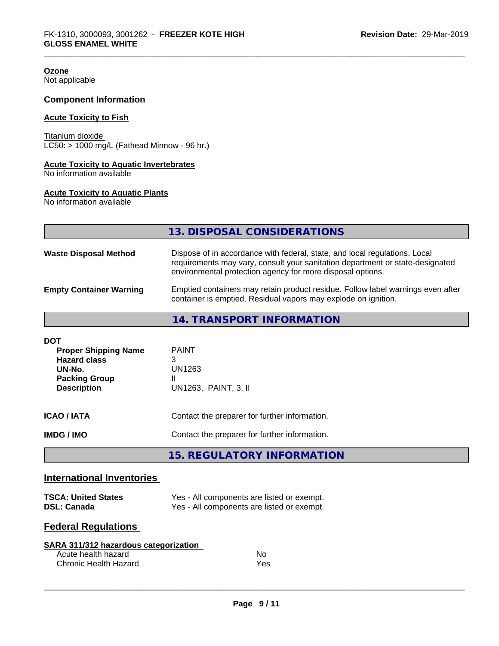# **Ozone**

Not applicable

#### **Component Information**

#### **Acute Toxicity to Fish**

Titanium dioxide  $LC50: > 1000$  mg/L (Fathead Minnow - 96 hr.)

#### **Acute Toxicity to Aquatic Invertebrates**

No information available

#### **Acute Toxicity to Aquatic Plants**

No information available

|                                | 13. DISPOSAL CONSIDERATIONS                                                                                                                                                                                               |
|--------------------------------|---------------------------------------------------------------------------------------------------------------------------------------------------------------------------------------------------------------------------|
| <b>Waste Disposal Method</b>   | Dispose of in accordance with federal, state, and local regulations. Local<br>requirements may vary, consult your sanitation department or state-designated<br>environmental protection agency for more disposal options. |
| <b>Empty Container Warning</b> | Emptied containers may retain product residue. Follow label warnings even after<br>container is emptied. Residual vapors may explode on ignition.                                                                         |

# **14. TRANSPORT INFORMATION**

| DOT<br><b>Proper Shipping Name</b><br><b>Hazard class</b><br>UN-No.<br><b>Packing Group</b><br><b>Description</b> | <b>PAINT</b><br>3<br>UN1263<br>Ш<br>UN1263, PAINT, 3, II |
|-------------------------------------------------------------------------------------------------------------------|----------------------------------------------------------|
| ICAO / IATA                                                                                                       | Contact the preparer for further information.            |
| IMDG / IMO                                                                                                        | Contact the preparer for further information.            |

**15. REGULATORY INFORMATION**

# **International Inventories**

| <b>TSCA: United States</b> | Yes - All components are listed or exempt. |
|----------------------------|--------------------------------------------|
| <b>DSL: Canada</b>         | Yes - All components are listed or exempt. |

# **Federal Regulations**

| SARA 311/312 hazardous categorization |     |  |
|---------------------------------------|-----|--|
| Acute health hazard                   | No. |  |
| Chronic Health Hazard                 | Yes |  |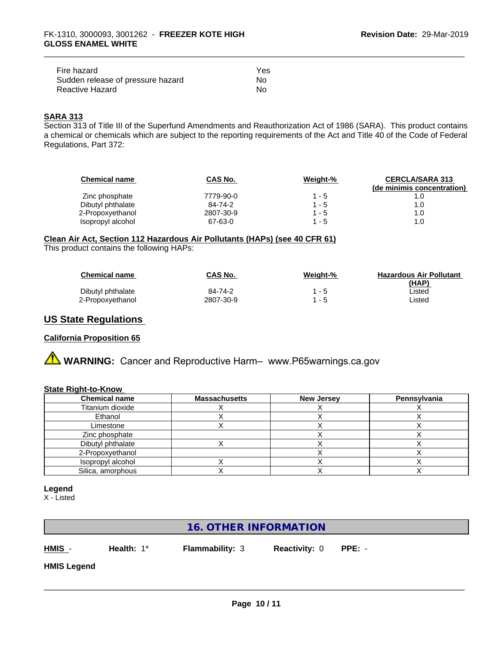| Fire hazard                       | Yes |  |
|-----------------------------------|-----|--|
| Sudden release of pressure hazard | No. |  |
| Reactive Hazard                   | No  |  |

# **SARA 313**

Section 313 of Title III of the Superfund Amendments and Reauthorization Act of 1986 (SARA). This product contains a chemical or chemicals which are subject to the reporting requirements of the Act and Title 40 of the Code of Federal Regulations, Part 372:

| <b>Chemical name</b> | CAS No.   | Weight-% | <b>CERCLA/SARA 313</b><br>(de minimis concentration) |
|----------------------|-----------|----------|------------------------------------------------------|
| Zinc phosphate       | 7779-90-0 | 1 - 5    |                                                      |
| Dibutyl phthalate    | 84-74-2   | 1 - 5    | 1.0                                                  |
| 2-Propoxyethanol     | 2807-30-9 | 1 - 5    | 1.0                                                  |
| Isopropyl alcohol    | 67-63-0   | $1 - 5$  | 1.0                                                  |

# **Clean Air Act,Section 112 Hazardous Air Pollutants (HAPs) (see 40 CFR 61)**

This product contains the following HAPs:

| <b>Chemical name</b> | CAS No.   | Weight-% | <b>Hazardous Air Pollutant</b> |
|----------------------|-----------|----------|--------------------------------|
|                      |           |          | (HAP)                          |
| Dibutyl phthalate    | 84-74-2   | $1 - 5$  | ∟isted                         |
| 2-Propoxyethanol     | 2807-30-9 | $1 - 5$  | ∟isted                         |

# **US State Regulations**

#### **California Proposition 65**

# **A** WARNING: Cancer and Reproductive Harm– www.P65warnings.ca.gov

#### **State Right-to-Know**

| <b>Chemical name</b> | <b>Massachusetts</b> | <b>New Jersey</b> | Pennsylvania |
|----------------------|----------------------|-------------------|--------------|
| Titanium dioxide     |                      |                   |              |
| Ethanol              |                      |                   |              |
| Limestone            |                      |                   |              |
| Zinc phosphate       |                      |                   |              |
| Dibutyl phthalate    |                      |                   |              |
| 2-Propoxyethanol     |                      |                   |              |
| Isopropyl alcohol    |                      |                   |              |
| Silica, amorphous    |                      |                   |              |

#### **Legend**

X - Listed